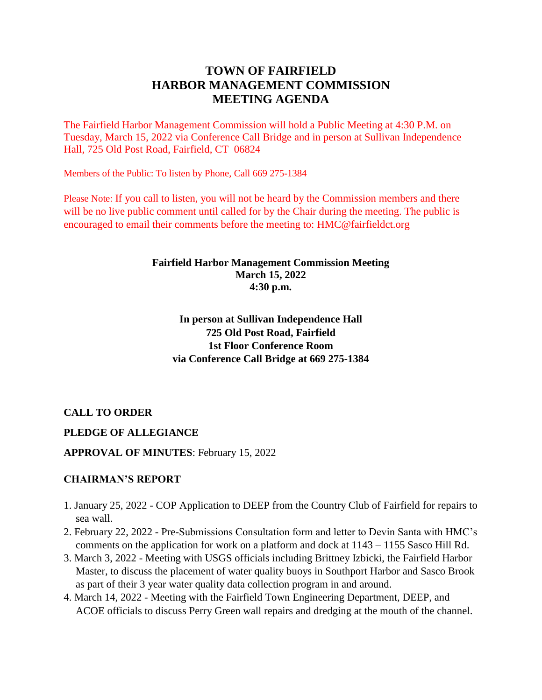# **TOWN OF FAIRFIELD HARBOR MANAGEMENT COMMISSION MEETING AGENDA**

The Fairfield Harbor Management Commission will hold a Public Meeting at 4:30 P.M. on Tuesday, March 15, 2022 via Conference Call Bridge and in person at Sullivan Independence Hall, 725 Old Post Road, Fairfield, CT 06824

Members of the Public: To listen by Phone, Call 669 275-1384

Please Note: If you call to listen, you will not be heard by the Commission members and there will be no live public comment until called for by the Chair during the meeting. The public is encouraged to email their comments before the meeting to: HMC@fairfieldct.org

> **Fairfield Harbor Management Commission Meeting March 15, 2022 4:30 p.m.**

**In person at Sullivan Independence Hall 725 Old Post Road, Fairfield 1st Floor Conference Room via Conference Call Bridge at 669 275-1384**

## **CALL TO ORDER**

### **PLEDGE OF ALLEGIANCE**

**APPROVAL OF MINUTES**: February 15, 2022

### **CHAIRMAN'S REPORT**

- 1. January 25, 2022 COP Application to DEEP from the Country Club of Fairfield for repairs to sea wall.
- 2. February 22, 2022 Pre-Submissions Consultation form and letter to Devin Santa with HMC's comments on the application for work on a platform and dock at 1143 – 1155 Sasco Hill Rd.
- 3. March 3, 2022 Meeting with USGS officials including Brittney Izbicki, the Fairfield Harbor Master, to discuss the placement of water quality buoys in Southport Harbor and Sasco Brook as part of their 3 year water quality data collection program in and around.
- 4. March 14, 2022 Meeting with the Fairfield Town Engineering Department, DEEP, and ACOE officials to discuss Perry Green wall repairs and dredging at the mouth of the channel.